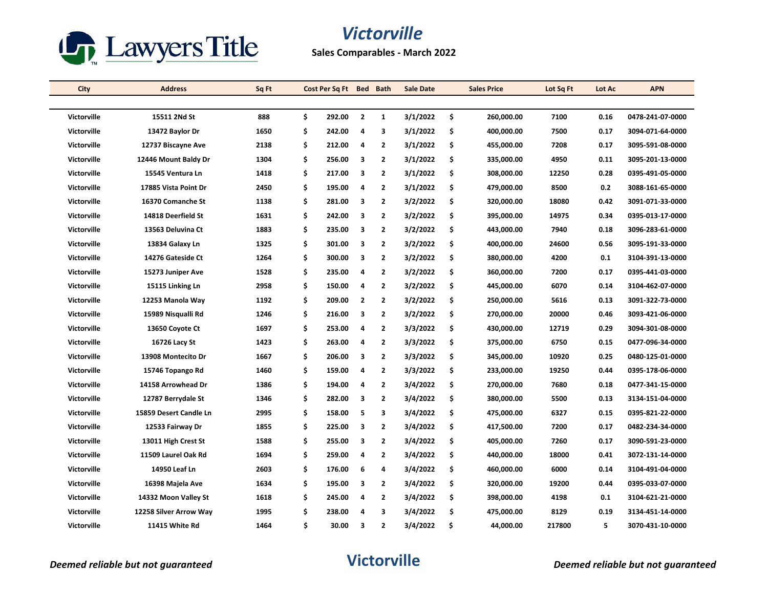

| City               | <b>Address</b>         | Sq Ft |    | Cost Per Sq Ft Bed Bath |                |                | <b>Sale Date</b> | <b>Sales Price</b> | Lot Sq Ft | Lot Ac | <b>APN</b>       |
|--------------------|------------------------|-------|----|-------------------------|----------------|----------------|------------------|--------------------|-----------|--------|------------------|
|                    |                        |       |    |                         |                |                |                  |                    |           |        |                  |
| <b>Victorville</b> | 15511 2Nd St           | 888   | \$ | 292.00                  | $\overline{2}$ | 1              | 3/1/2022         | \$<br>260,000.00   | 7100      | 0.16   | 0478-241-07-0000 |
| <b>Victorville</b> | 13472 Baylor Dr        | 1650  | \$ | 242.00                  | 4              | 3              | 3/1/2022         | \$<br>400,000.00   | 7500      | 0.17   | 3094-071-64-0000 |
| <b>Victorville</b> | 12737 Biscayne Ave     | 2138  | \$ | 212.00                  | 4              | $\overline{2}$ | 3/1/2022         | \$<br>455,000.00   | 7208      | 0.17   | 3095-591-08-0000 |
| <b>Victorville</b> | 12446 Mount Baldy Dr   | 1304  | \$ | 256.00                  | 3              | $\overline{2}$ | 3/1/2022         | \$<br>335,000.00   | 4950      | 0.11   | 3095-201-13-0000 |
| Victorville        | 15545 Ventura Ln       | 1418  | \$ | 217.00                  | з              | $\overline{2}$ | 3/1/2022         | \$<br>308,000.00   | 12250     | 0.28   | 0395-491-05-0000 |
| <b>Victorville</b> | 17885 Vista Point Dr   | 2450  | \$ | 195.00                  | 4              | $\overline{2}$ | 3/1/2022         | \$<br>479,000.00   | 8500      | 0.2    | 3088-161-65-0000 |
| <b>Victorville</b> | 16370 Comanche St      | 1138  | \$ | 281.00                  | 3              | $\overline{2}$ | 3/2/2022         | \$<br>320,000.00   | 18080     | 0.42   | 3091-071-33-0000 |
| <b>Victorville</b> | 14818 Deerfield St     | 1631  | \$ | 242.00                  | 3              | $\overline{2}$ | 3/2/2022         | \$<br>395,000.00   | 14975     | 0.34   | 0395-013-17-0000 |
| Victorville        | 13563 Deluvina Ct      | 1883  | \$ | 235.00                  | 3              | $\overline{2}$ | 3/2/2022         | \$<br>443,000.00   | 7940      | 0.18   | 3096-283-61-0000 |
| <b>Victorville</b> | 13834 Galaxy Ln        | 1325  | \$ | 301.00                  | 3              | $\overline{2}$ | 3/2/2022         | \$<br>400,000.00   | 24600     | 0.56   | 3095-191-33-0000 |
| <b>Victorville</b> | 14276 Gateside Ct      | 1264  | \$ | 300.00                  | з              | $\overline{2}$ | 3/2/2022         | \$<br>380,000.00   | 4200      | 0.1    | 3104-391-13-0000 |
| <b>Victorville</b> | 15273 Juniper Ave      | 1528  | \$ | 235.00                  | 4              | $\overline{2}$ | 3/2/2022         | \$<br>360,000.00   | 7200      | 0.17   | 0395-441-03-0000 |
| <b>Victorville</b> | 15115 Linking Ln       | 2958  | \$ | 150.00                  | 4              | $\overline{2}$ | 3/2/2022         | \$<br>445,000.00   | 6070      | 0.14   | 3104-462-07-0000 |
| <b>Victorville</b> | 12253 Manola Way       | 1192  | \$ | 209.00                  | $\overline{2}$ | $\overline{2}$ | 3/2/2022         | \$<br>250,000.00   | 5616      | 0.13   | 3091-322-73-0000 |
| <b>Victorville</b> | 15989 Nisqualli Rd     | 1246  | \$ | 216.00                  | 3              | $\overline{2}$ | 3/2/2022         | \$<br>270,000.00   | 20000     | 0.46   | 3093-421-06-0000 |
| <b>Victorville</b> | 13650 Coyote Ct        | 1697  | \$ | 253.00                  | 4              | $\mathbf{2}$   | 3/3/2022         | \$<br>430,000.00   | 12719     | 0.29   | 3094-301-08-0000 |
| <b>Victorville</b> | 16726 Lacy St          | 1423  | \$ | 263.00                  | 4              | $\overline{2}$ | 3/3/2022         | \$<br>375,000.00   | 6750      | 0.15   | 0477-096-34-0000 |
| Victorville        | 13908 Montecito Dr     | 1667  | \$ | 206.00                  | з              | $\mathbf{2}$   | 3/3/2022         | \$<br>345,000.00   | 10920     | 0.25   | 0480-125-01-0000 |
| <b>Victorville</b> | 15746 Topango Rd       | 1460  | \$ | 159.00                  | 4              | $\overline{2}$ | 3/3/2022         | \$<br>233,000.00   | 19250     | 0.44   | 0395-178-06-0000 |
| <b>Victorville</b> | 14158 Arrowhead Dr     | 1386  | \$ | 194.00                  | 4              | $\overline{2}$ | 3/4/2022         | \$<br>270,000.00   | 7680      | 0.18   | 0477-341-15-0000 |
| <b>Victorville</b> | 12787 Berrydale St     | 1346  | \$ | 282.00                  | 3              | $\overline{2}$ | 3/4/2022         | \$<br>380,000.00   | 5500      | 0.13   | 3134-151-04-0000 |
| <b>Victorville</b> | 15859 Desert Candle Ln | 2995  | \$ | 158.00                  | 5              | 3              | 3/4/2022         | \$<br>475,000.00   | 6327      | 0.15   | 0395-821-22-0000 |
| <b>Victorville</b> | 12533 Fairway Dr       | 1855  | \$ | 225.00                  | 3              | $\overline{2}$ | 3/4/2022         | \$<br>417,500.00   | 7200      | 0.17   | 0482-234-34-0000 |
| <b>Victorville</b> | 13011 High Crest St    | 1588  | \$ | 255.00                  | 3              | $\overline{2}$ | 3/4/2022         | \$<br>405,000.00   | 7260      | 0.17   | 3090-591-23-0000 |
| <b>Victorville</b> | 11509 Laurel Oak Rd    | 1694  | \$ | 259.00                  | 4              | $\mathbf{2}$   | 3/4/2022         | \$<br>440,000.00   | 18000     | 0.41   | 3072-131-14-0000 |
| <b>Victorville</b> | 14950 Leaf Ln          | 2603  | \$ | 176.00                  | 6              | 4              | 3/4/2022         | \$<br>460,000.00   | 6000      | 0.14   | 3104-491-04-0000 |
| Victorville        | 16398 Majela Ave       | 1634  | \$ | 195.00                  | 3              | $\overline{2}$ | 3/4/2022         | \$<br>320,000.00   | 19200     | 0.44   | 0395-033-07-0000 |
| <b>Victorville</b> | 14332 Moon Valley St   | 1618  | \$ | 245.00                  | 4              | $\overline{2}$ | 3/4/2022         | \$<br>398,000.00   | 4198      | 0.1    | 3104-621-21-0000 |
| <b>Victorville</b> | 12258 Silver Arrow Way | 1995  | Ś  | 238.00                  | 4              | 3              | 3/4/2022         | \$<br>475,000.00   | 8129      | 0.19   | 3134-451-14-0000 |
| <b>Victorville</b> | <b>11415 White Rd</b>  | 1464  | Ś  | 30.00                   | 3              | $\overline{2}$ | 3/4/2022         | \$<br>44,000.00    | 217800    | 5      | 3070-431-10-0000 |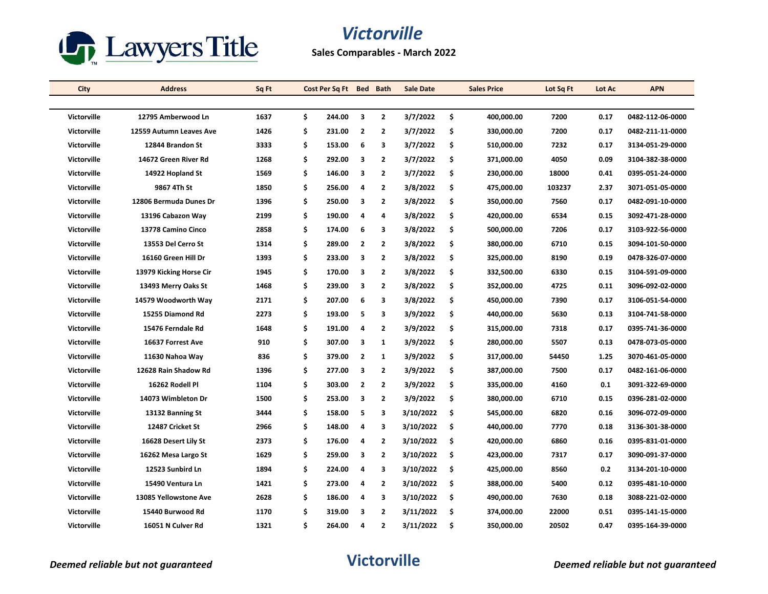

| City               | <b>Address</b>          | Sq Ft |    | Cost Per Sq Ft Bed |                | <b>Bath</b>    | <b>Sale Date</b> |     | <b>Sales Price</b> | Lot Sq Ft | Lot Ac | <b>APN</b>       |
|--------------------|-------------------------|-------|----|--------------------|----------------|----------------|------------------|-----|--------------------|-----------|--------|------------------|
|                    |                         |       |    |                    |                |                |                  |     |                    |           |        |                  |
| <b>Victorville</b> | 12795 Amberwood Ln      | 1637  | \$ | 244.00             | 3              | $\overline{2}$ | 3/7/2022         | \$  | 400,000.00         | 7200      | 0.17   | 0482-112-06-0000 |
| Victorville        | 12559 Autumn Leaves Ave | 1426  | \$ | 231.00             | $\overline{2}$ | $\overline{2}$ | 3/7/2022         | \$  | 330,000.00         | 7200      | 0.17   | 0482-211-11-0000 |
| Victorville        | 12844 Brandon St        | 3333  | \$ | 153.00             | 6              | 3              | 3/7/2022         | \$  | 510,000.00         | 7232      | 0.17   | 3134-051-29-0000 |
| <b>Victorville</b> | 14672 Green River Rd    | 1268  | \$ | 292.00             | 3              | $\overline{2}$ | 3/7/2022         | \$  | 371,000.00         | 4050      | 0.09   | 3104-382-38-0000 |
| Victorville        | 14922 Hopland St        | 1569  | \$ | 146.00             | з              | 2              | 3/7/2022         | \$  | 230,000.00         | 18000     | 0.41   | 0395-051-24-0000 |
| <b>Victorville</b> | 9867 4Th St             | 1850  | Ś  | 256.00             | 4              | $\overline{2}$ | 3/8/2022         | \$  | 475,000.00         | 103237    | 2.37   | 3071-051-05-0000 |
| Victorville        | 12806 Bermuda Dunes Dr  | 1396  | \$ | 250.00             | 3              | $\overline{2}$ | 3/8/2022         | \$  | 350,000.00         | 7560      | 0.17   | 0482-091-10-0000 |
| <b>Victorville</b> | 13196 Cabazon Way       | 2199  | \$ | 190.00             | 4              | 4              | 3/8/2022         | \$  | 420,000.00         | 6534      | 0.15   | 3092-471-28-0000 |
| Victorville        | 13778 Camino Cinco      | 2858  | \$ | 174.00             | 6              | 3              | 3/8/2022         | \$  | 500,000.00         | 7206      | 0.17   | 3103-922-56-0000 |
| Victorville        | 13553 Del Cerro St      | 1314  | Ś  | 289.00             | $\mathbf{2}$   | 2              | 3/8/2022         | \$  | 380,000.00         | 6710      | 0.15   | 3094-101-50-0000 |
| Victorville        | 16160 Green Hill Dr     | 1393  | Ś  | 233.00             | 3              | $\overline{2}$ | 3/8/2022         | \$  | 325,000.00         | 8190      | 0.19   | 0478-326-07-0000 |
| Victorville        | 13979 Kicking Horse Cir | 1945  | Ś  | 170.00             | 3              | $\mathbf{2}$   | 3/8/2022         | \$  | 332,500.00         | 6330      | 0.15   | 3104-591-09-0000 |
| Victorville        | 13493 Merry Oaks St     | 1468  | Ś  | 239.00             | 3              | $\overline{2}$ | 3/8/2022         | \$  | 352,000.00         | 4725      | 0.11   | 3096-092-02-0000 |
| Victorville        | 14579 Woodworth Way     | 2171  | \$ | 207.00             | 6              | 3              | 3/8/2022         | \$  | 450,000.00         | 7390      | 0.17   | 3106-051-54-0000 |
| Victorville        | 15255 Diamond Rd        | 2273  | \$ | 193.00             | 5              | 3              | 3/9/2022         | \$  | 440,000.00         | 5630      | 0.13   | 3104-741-58-0000 |
| Victorville        | 15476 Ferndale Rd       | 1648  | \$ | 191.00             | 4              | $\mathbf{2}$   | 3/9/2022         | \$  | 315,000.00         | 7318      | 0.17   | 0395-741-36-0000 |
| Victorville        | 16637 Forrest Ave       | 910   | \$ | 307.00             | 3              | 1              | 3/9/2022         | \$  | 280,000.00         | 5507      | 0.13   | 0478-073-05-0000 |
| <b>Victorville</b> | 11630 Nahoa Way         | 836   | Ś  | 379.00             | $\overline{2}$ | 1              | 3/9/2022         | \$  | 317,000.00         | 54450     | 1.25   | 3070-461-05-0000 |
| Victorville        | 12628 Rain Shadow Rd    | 1396  | Ś  | 277.00             | 3              | $\mathbf{2}$   | 3/9/2022         | \$  | 387,000.00         | 7500      | 0.17   | 0482-161-06-0000 |
| Victorville        | 16262 Rodell Pl         | 1104  | Ś  | 303.00             | $\overline{2}$ | $\overline{2}$ | 3/9/2022         | \$  | 335,000.00         | 4160      | 0.1    | 3091-322-69-0000 |
| Victorville        | 14073 Wimbleton Dr      | 1500  | \$ | 253.00             | 3              | $\overline{2}$ | 3/9/2022         | \$  | 380,000.00         | 6710      | 0.15   | 0396-281-02-0000 |
| Victorville        | 13132 Banning St        | 3444  | \$ | 158.00             | 5              | 3              | 3/10/2022        | \$  | 545,000.00         | 6820      | 0.16   | 3096-072-09-0000 |
| Victorville        | 12487 Cricket St        | 2966  | \$ | 148.00             | 4              | З              | 3/10/2022        | \$  | 440,000.00         | 7770      | 0.18   | 3136-301-38-0000 |
| Victorville        | 16628 Desert Lily St    | 2373  | \$ | 176.00             | 4              | $\overline{2}$ | 3/10/2022        | \$  | 420,000.00         | 6860      | 0.16   | 0395-831-01-0000 |
| <b>Victorville</b> | 16262 Mesa Largo St     | 1629  | Ś  | 259.00             | 3              | 2              | 3/10/2022        | \$  | 423,000.00         | 7317      | 0.17   | 3090-091-37-0000 |
| <b>Victorville</b> | 12523 Sunbird Ln        | 1894  | \$ | 224.00             | 4              | 3              | 3/10/2022        | \$  | 425,000.00         | 8560      | 0.2    | 3134-201-10-0000 |
| Victorville        | 15490 Ventura Ln        | 1421  | \$ | 273.00             | 4              | $\overline{2}$ | 3/10/2022        | \$. | 388,000.00         | 5400      | 0.12   | 0395-481-10-0000 |
| <b>Victorville</b> | 13085 Yellowstone Ave   | 2628  | Ś  | 186.00             | 4              | 3              | 3/10/2022        | \$  | 490,000.00         | 7630      | 0.18   | 3088-221-02-0000 |
| <b>Victorville</b> | 15440 Burwood Rd        | 1170  | Ś  | 319.00             | з              | 2              | 3/11/2022        | \$  | 374,000.00         | 22000     | 0.51   | 0395-141-15-0000 |
| <b>Victorville</b> | 16051 N Culver Rd       | 1321  | \$ | 264.00             | 4              | $\overline{2}$ | 3/11/2022        | \$  | 350,000.00         | 20502     | 0.47   | 0395-164-39-0000 |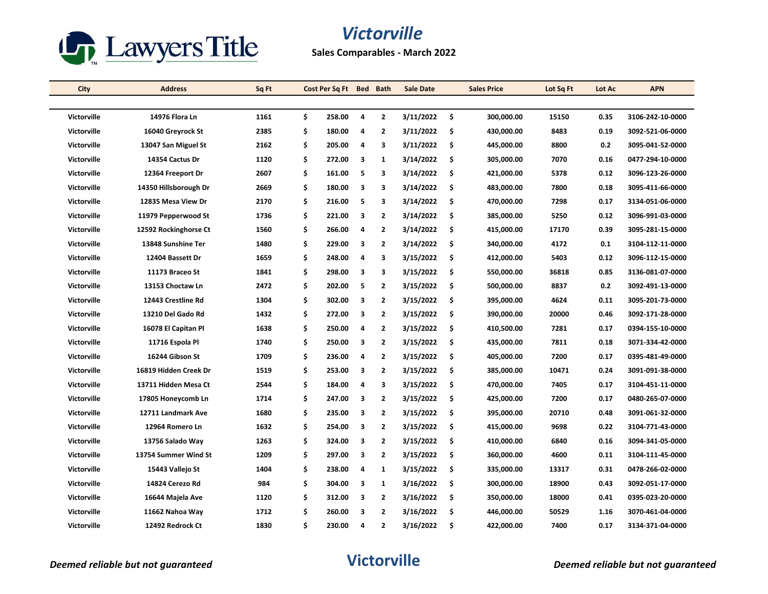

| City               | <b>Address</b>        | Sq Ft |    | Cost Per Sq Ft | <b>Bed</b> | <b>Bath</b>    | <b>Sale Date</b> |     | <b>Sales Price</b> | Lot Sq Ft | Lot Ac | <b>APN</b>       |
|--------------------|-----------------------|-------|----|----------------|------------|----------------|------------------|-----|--------------------|-----------|--------|------------------|
|                    |                       |       |    |                |            |                |                  |     |                    |           |        |                  |
| <b>Victorville</b> | 14976 Flora Ln        | 1161  | \$ | 258.00         | 4          | $\overline{2}$ | 3/11/2022        | Ŝ.  | 300,000.00         | 15150     | 0.35   | 3106-242-10-0000 |
| Victorville        | 16040 Greyrock St     | 2385  | \$ | 180.00         | 4          | $\overline{2}$ | 3/11/2022        | \$. | 430,000.00         | 8483      | 0.19   | 3092-521-06-0000 |
| <b>Victorville</b> | 13047 San Miguel St   | 2162  | \$ | 205.00         | 4          | 3              | 3/11/2022        | \$. | 445,000.00         | 8800      | 0.2    | 3095-041-52-0000 |
| Victorville        | 14354 Cactus Dr       | 1120  | \$ | 272.00         | 3          | 1              | 3/14/2022        | \$  | 305,000.00         | 7070      | 0.16   | 0477-294-10-0000 |
| Victorville        | 12364 Freeport Dr     | 2607  | \$ | 161.00         | 5          | 3              | 3/14/2022        | \$  | 421,000.00         | 5378      | 0.12   | 3096-123-26-0000 |
| <b>Victorville</b> | 14350 Hillsborough Dr | 2669  | \$ | 180.00         | 3          | 3              | 3/14/2022        | Ŝ.  | 483,000.00         | 7800      | 0.18   | 3095-411-66-0000 |
| Victorville        | 12835 Mesa View Dr    | 2170  | \$ | 216.00         | 5          | 3              | 3/14/2022        | \$  | 470,000.00         | 7298      | 0.17   | 3134-051-06-0000 |
| <b>Victorville</b> | 11979 Pepperwood St   | 1736  | \$ | 221.00         | 3          | $\overline{2}$ | 3/14/2022        | \$. | 385,000.00         | 5250      | 0.12   | 3096-991-03-0000 |
| Victorville        | 12592 Rockinghorse Ct | 1560  | \$ | 266.00         | 4          | 2              | 3/14/2022        | Ŝ.  | 415,000.00         | 17170     | 0.39   | 3095-281-15-0000 |
| Victorville        | 13848 Sunshine Ter    | 1480  | \$ | 229.00         | 3          | $\overline{2}$ | 3/14/2022        | \$. | 340,000.00         | 4172      | 0.1    | 3104-112-11-0000 |
| Victorville        | 12404 Bassett Dr      | 1659  | \$ | 248.00         | 4          | 3              | 3/15/2022        | \$. | 412,000.00         | 5403      | 0.12   | 3096-112-15-0000 |
| Victorville        | 11173 Braceo St       | 1841  | Ś  | 298.00         | 3          | 3              | 3/15/2022        | \$  | 550,000.00         | 36818     | 0.85   | 3136-081-07-0000 |
| Victorville        | 13153 Choctaw Ln      | 2472  | \$ | 202.00         | 5          | $\overline{2}$ | 3/15/2022        | \$  | 500,000.00         | 8837      | 0.2    | 3092-491-13-0000 |
| <b>Victorville</b> | 12443 Crestline Rd    | 1304  | \$ | 302.00         | 3          | $\overline{2}$ | 3/15/2022        | \$. | 395,000.00         | 4624      | 0.11   | 3095-201-73-0000 |
| Victorville        | 13210 Del Gado Rd     | 1432  | \$ | 272.00         | 3          | $\overline{2}$ | 3/15/2022        | \$  | 390,000.00         | 20000     | 0.46   | 3092-171-28-0000 |
| Victorville        | 16078 El Capitan Pl   | 1638  | \$ | 250.00         | 4          | $\mathbf{2}$   | 3/15/2022        | \$  | 410,500.00         | 7281      | 0.17   | 0394-155-10-0000 |
| <b>Victorville</b> | 11716 Espola Pl       | 1740  | \$ | 250.00         | 3          | $\overline{2}$ | 3/15/2022        | \$. | 435,000.00         | 7811      | 0.18   | 3071-334-42-0000 |
| <b>Victorville</b> | 16244 Gibson St       | 1709  | \$ | 236.00         | 4          | $\overline{2}$ | 3/15/2022        | \$  | 405,000.00         | 7200      | 0.17   | 0395-481-49-0000 |
| Victorville        | 16819 Hidden Creek Dr | 1519  | \$ | 253.00         | 3          | $\mathbf{2}$   | 3/15/2022        | \$  | 385,000.00         | 10471     | 0.24   | 3091-091-38-0000 |
| <b>Victorville</b> | 13711 Hidden Mesa Ct  | 2544  | \$ | 184.00         | 4          | 3              | 3/15/2022        | \$  | 470,000.00         | 7405      | 0.17   | 3104-451-11-0000 |
| Victorville        | 17805 Honeycomb Ln    | 1714  | \$ | 247.00         | 3          | $\overline{2}$ | 3/15/2022        | \$  | 425,000.00         | 7200      | 0.17   | 0480-265-07-0000 |
| Victorville        | 12711 Landmark Ave    | 1680  | \$ | 235.00         | 3          | $\overline{2}$ | 3/15/2022        | \$  | 395,000.00         | 20710     | 0.48   | 3091-061-32-0000 |
| Victorville        | 12964 Romero Ln       | 1632  | \$ | 254.00         | 3          | 2              | 3/15/2022        | \$  | 415,000.00         | 9698      | 0.22   | 3104-771-43-0000 |
| Victorville        | 13756 Salado Way      | 1263  | \$ | 324.00         | 3          | $\overline{2}$ | 3/15/2022        | \$  | 410,000.00         | 6840      | 0.16   | 3094-341-05-0000 |
| <b>Victorville</b> | 13754 Summer Wind St  | 1209  | \$ | 297.00         | 3          | $\overline{2}$ | 3/15/2022        | \$  | 360,000.00         | 4600      | 0.11   | 3104-111-45-0000 |
| <b>Victorville</b> | 15443 Vallejo St      | 1404  | \$ | 238.00         | 4          | 1              | 3/15/2022        | \$  | 335,000.00         | 13317     | 0.31   | 0478-266-02-0000 |
| <b>Victorville</b> | 14824 Cerezo Rd       | 984   | \$ | 304.00         | 3          | 1              | 3/16/2022        | \$. | 300,000.00         | 18900     | 0.43   | 3092-051-17-0000 |
| Victorville        | 16644 Majela Ave      | 1120  | \$ | 312.00         | 3          | $\overline{2}$ | 3/16/2022        | Ŝ.  | 350,000.00         | 18000     | 0.41   | 0395-023-20-0000 |
| <b>Victorville</b> | 11662 Nahoa Way       | 1712  | Ś  | 260.00         | 3          | $\overline{2}$ | 3/16/2022        | \$  | 446,000.00         | 50529     | 1.16   | 3070-461-04-0000 |
| <b>Victorville</b> | 12492 Redrock Ct      | 1830  | \$ | 230.00         | 4          | $\overline{2}$ | 3/16/2022        | \$  | 422,000.00         | 7400      | 0.17   | 3134-371-04-0000 |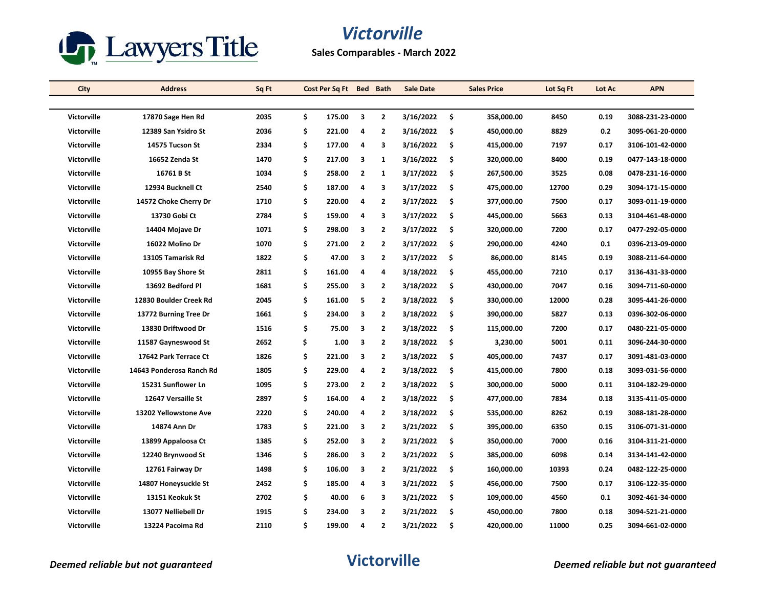

**Sales Comparables - March 2022**

| City               | <b>Address</b>           | Sq Ft |     | Cost Per Sq Ft Bed |                | <b>Bath</b>    | <b>Sale Date</b> |     | <b>Sales Price</b> | Lot Sq Ft | Lot Ac | <b>APN</b>       |
|--------------------|--------------------------|-------|-----|--------------------|----------------|----------------|------------------|-----|--------------------|-----------|--------|------------------|
|                    |                          |       |     |                    |                |                |                  |     |                    |           |        |                  |
| <b>Victorville</b> | 17870 Sage Hen Rd        | 2035  | \$. | 175.00             | 3              | $\overline{2}$ | 3/16/2022        | \$  | 358,000.00         | 8450      | 0.19   | 3088-231-23-0000 |
| Victorville        | 12389 San Ysidro St      | 2036  | \$  | 221.00             | 4              | $\mathbf{2}$   | 3/16/2022        | \$  | 450,000.00         | 8829      | 0.2    | 3095-061-20-0000 |
| Victorville        | 14575 Tucson St          | 2334  | \$  | 177.00             | 4              | 3              | 3/16/2022        | \$  | 415,000.00         | 7197      | 0.17   | 3106-101-42-0000 |
| Victorville        | 16652 Zenda St           | 1470  | \$  | 217.00             | 3              | 1              | 3/16/2022        | \$  | 320,000.00         | 8400      | 0.19   | 0477-143-18-0000 |
| Victorville        | 16761 B St               | 1034  | \$  | 258.00             | $\overline{2}$ | $\mathbf{1}$   | 3/17/2022        | \$  | 267,500.00         | 3525      | 0.08   | 0478-231-16-0000 |
| <b>Victorville</b> | 12934 Bucknell Ct        | 2540  | \$  | 187.00             | 4              | 3              | 3/17/2022        | \$  | 475,000.00         | 12700     | 0.29   | 3094-171-15-0000 |
| Victorville        | 14572 Choke Cherry Dr    | 1710  | \$  | 220.00             | 4              | $\overline{2}$ | 3/17/2022        | \$  | 377,000.00         | 7500      | 0.17   | 3093-011-19-0000 |
| Victorville        | 13730 Gobi Ct            | 2784  | \$  | 159.00             | 4              | 3              | 3/17/2022        | \$  | 445,000.00         | 5663      | 0.13   | 3104-461-48-0000 |
| <b>Victorville</b> | 14404 Mojave Dr          | 1071  | \$  | 298.00             | 3              | $\overline{2}$ | 3/17/2022        | \$  | 320,000.00         | 7200      | 0.17   | 0477-292-05-0000 |
| Victorville        | 16022 Molino Dr          | 1070  | \$  | 271.00             | $\overline{2}$ | $\overline{2}$ | 3/17/2022        | \$  | 290,000.00         | 4240      | 0.1    | 0396-213-09-0000 |
| Victorville        | 13105 Tamarisk Rd        | 1822  | \$  | 47.00              | 3              | $\overline{2}$ | 3/17/2022        | Ŝ.  | 86,000.00          | 8145      | 0.19   | 3088-211-64-0000 |
| Victorville        | 10955 Bay Shore St       | 2811  | \$  | 161.00             | 4              | 4              | 3/18/2022        | \$  | 455,000.00         | 7210      | 0.17   | 3136-431-33-0000 |
| Victorville        | 13692 Bedford Pl         | 1681  | \$  | 255.00             | 3              | $\overline{2}$ | 3/18/2022        | \$  | 430,000.00         | 7047      | 0.16   | 3094-711-60-0000 |
| Victorville        | 12830 Boulder Creek Rd   | 2045  | \$  | 161.00             | 5              | $\overline{2}$ | 3/18/2022        | \$  | 330,000.00         | 12000     | 0.28   | 3095-441-26-0000 |
| <b>Victorville</b> | 13772 Burning Tree Dr    | 1661  | \$  | 234.00             | 3              | $\overline{2}$ | 3/18/2022        | \$  | 390,000.00         | 5827      | 0.13   | 0396-302-06-0000 |
| Victorville        | 13830 Driftwood Dr       | 1516  | \$  | 75.00              | 3              | $\overline{2}$ | 3/18/2022        | \$  | 115,000.00         | 7200      | 0.17   | 0480-221-05-0000 |
| Victorville        | 11587 Gayneswood St      | 2652  | \$  | 1.00               | 3              | $\mathbf{2}$   | 3/18/2022        | \$  | 3,230.00           | 5001      | 0.11   | 3096-244-30-0000 |
| <b>Victorville</b> | 17642 Park Terrace Ct    | 1826  | \$  | 221.00             | 3              | $\overline{2}$ | 3/18/2022        | \$. | 405,000.00         | 7437      | 0.17   | 3091-481-03-0000 |
| Victorville        | 14643 Ponderosa Ranch Rd | 1805  | \$  | 229.00             | 4              | $\overline{2}$ | 3/18/2022        | \$  | 415,000.00         | 7800      | 0.18   | 3093-031-56-0000 |
| Victorville        | 15231 Sunflower Ln       | 1095  | \$  | 273.00             | $\overline{2}$ | $\overline{2}$ | 3/18/2022        | \$  | 300,000.00         | 5000      | 0.11   | 3104-182-29-0000 |
| <b>Victorville</b> | 12647 Versaille St       | 2897  | \$  | 164.00             | 4              | $\overline{2}$ | 3/18/2022        | \$  | 477,000.00         | 7834      | 0.18   | 3135-411-05-0000 |
| Victorville        | 13202 Yellowstone Ave    | 2220  | \$  | 240.00             | 4              | $\mathbf{2}$   | 3/18/2022        | \$  | 535,000.00         | 8262      | 0.19   | 3088-181-28-0000 |
| Victorville        | 14874 Ann Dr             | 1783  | \$  | 221.00             | 3              | $\mathbf{2}$   | 3/21/2022        | \$  | 395,000.00         | 6350      | 0.15   | 3106-071-31-0000 |
| Victorville        | 13899 Appaloosa Ct       | 1385  | \$  | 252.00             | 3              | $\overline{2}$ | 3/21/2022        | \$  | 350,000.00         | 7000      | 0.16   | 3104-311-21-0000 |
| Victorville        | 12240 Brynwood St        | 1346  | \$  | 286.00             | 3              | $\overline{2}$ | 3/21/2022        | \$  | 385,000.00         | 6098      | 0.14   | 3134-141-42-0000 |
| <b>Victorville</b> | 12761 Fairway Dr         | 1498  | \$  | 106.00             | 3              | $\overline{2}$ | 3/21/2022        | \$  | 160,000.00         | 10393     | 0.24   | 0482-122-25-0000 |
| Victorville        | 14807 Honeysuckle St     | 2452  | \$  | 185.00             | 4              | 3              | 3/21/2022        | \$  | 456,000.00         | 7500      | 0.17   | 3106-122-35-0000 |
| <b>Victorville</b> | 13151 Keokuk St          | 2702  | \$  | 40.00              | 6              | 3              | 3/21/2022        | \$  | 109,000.00         | 4560      | 0.1    | 3092-461-34-0000 |
| <b>Victorville</b> | 13077 Nelliebell Dr      | 1915  | Ś   | 234.00             | 3              | $\overline{2}$ | 3/21/2022        | \$  | 450,000.00         | 7800      | 0.18   | 3094-521-21-0000 |
| <b>Victorville</b> | 13224 Pacoima Rd         | 2110  | \$  | 199.00             | 4              | $\mathbf{2}$   | 3/21/2022        | \$  | 420,000.00         | 11000     | 0.25   | 3094-661-02-0000 |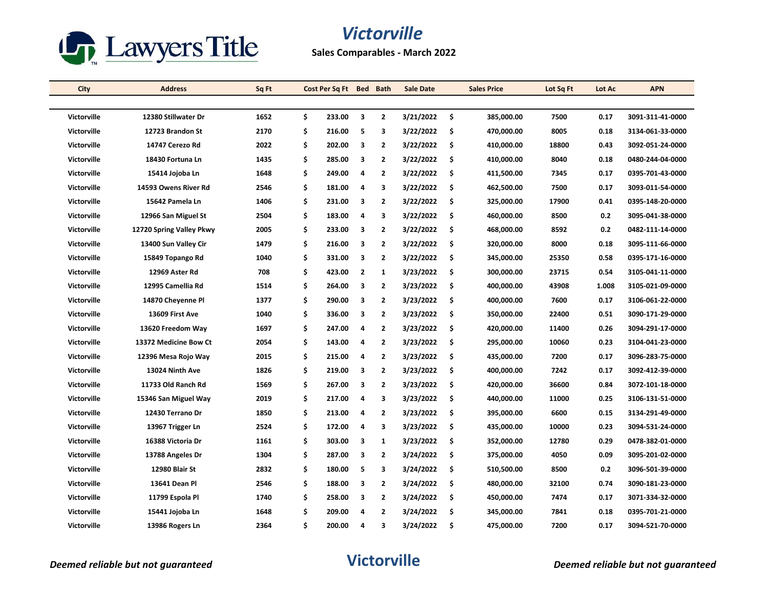

| City               | <b>Address</b>           | Sq Ft |    | Cost Per Sq Ft Bed Bath |   |                | <b>Sale Date</b> |     | <b>Sales Price</b> | Lot Sq Ft | Lot Ac | <b>APN</b>       |
|--------------------|--------------------------|-------|----|-------------------------|---|----------------|------------------|-----|--------------------|-----------|--------|------------------|
|                    |                          |       |    |                         |   |                |                  |     |                    |           |        |                  |
| <b>Victorville</b> | 12380 Stillwater Dr      | 1652  | \$ | 233.00                  | 3 | $\overline{2}$ | 3/21/2022        | \$. | 385,000.00         | 7500      | 0.17   | 3091-311-41-0000 |
| <b>Victorville</b> | 12723 Brandon St         | 2170  | \$ | 216.00                  | 5 | 3              | 3/22/2022        | \$. | 470,000.00         | 8005      | 0.18   | 3134-061-33-0000 |
| <b>Victorville</b> | 14747 Cerezo Rd          | 2022  | \$ | 202.00                  | 3 | $\overline{2}$ | 3/22/2022        | Ŝ.  | 410,000.00         | 18800     | 0.43   | 3092-051-24-0000 |
| <b>Victorville</b> | 18430 Fortuna Ln         | 1435  | \$ | 285.00                  | 3 | $\mathbf{2}$   | 3/22/2022        | \$  | 410,000.00         | 8040      | 0.18   | 0480-244-04-0000 |
| Victorville        | 15414 Jojoba Ln          | 1648  | \$ | 249.00                  | 4 | $\overline{2}$ | 3/22/2022        | \$  | 411,500.00         | 7345      | 0.17   | 0395-701-43-0000 |
| <b>Victorville</b> | 14593 Owens River Rd     | 2546  | \$ | 181.00                  | 4 | 3              | 3/22/2022        | \$  | 462,500.00         | 7500      | 0.17   | 3093-011-54-0000 |
| <b>Victorville</b> | 15642 Pamela Ln          | 1406  | \$ | 231.00                  | 3 | $\overline{2}$ | 3/22/2022        | \$  | 325,000.00         | 17900     | 0.41   | 0395-148-20-0000 |
| Victorville        | 12966 San Miguel St      | 2504  | \$ | 183.00                  | 4 | 3              | 3/22/2022        | \$. | 460,000.00         | 8500      | 0.2    | 3095-041-38-0000 |
| Victorville        | 12720 Spring Valley Pkwy | 2005  | \$ | 233.00                  | 3 | $\overline{2}$ | 3/22/2022        | \$  | 468,000.00         | 8592      | 0.2    | 0482-111-14-0000 |
| <b>Victorville</b> | 13400 Sun Valley Cir     | 1479  | \$ | 216.00                  | 3 | $\overline{2}$ | 3/22/2022        | \$  | 320,000.00         | 8000      | 0.18   | 3095-111-66-0000 |
| <b>Victorville</b> | 15849 Topango Rd         | 1040  | \$ | 331.00                  | 3 | $\overline{2}$ | 3/22/2022        | \$. | 345,000.00         | 25350     | 0.58   | 0395-171-16-0000 |
| <b>Victorville</b> | 12969 Aster Rd           | 708   | \$ | 423.00                  | 2 | 1              | 3/23/2022        | \$. | 300,000.00         | 23715     | 0.54   | 3105-041-11-0000 |
| <b>Victorville</b> | 12995 Camellia Rd        | 1514  | \$ | 264.00                  | 3 | $\overline{2}$ | 3/23/2022        | \$  | 400,000.00         | 43908     | 1.008  | 3105-021-09-0000 |
| <b>Victorville</b> | 14870 Cheyenne Pl        | 1377  | \$ | 290.00                  | 3 | $\overline{2}$ | 3/23/2022        | \$  | 400,000.00         | 7600      | 0.17   | 3106-061-22-0000 |
| <b>Victorville</b> | 13609 First Ave          | 1040  | \$ | 336.00                  | 3 | $\overline{2}$ | 3/23/2022        | \$. | 350,000.00         | 22400     | 0.51   | 3090-171-29-0000 |
| Victorville        | 13620 Freedom Way        | 1697  | \$ | 247.00                  | 4 | $\mathbf{2}$   | 3/23/2022        | \$  | 420,000.00         | 11400     | 0.26   | 3094-291-17-0000 |
| <b>Victorville</b> | 13372 Medicine Bow Ct    | 2054  | \$ | 143.00                  | 4 | $\overline{2}$ | 3/23/2022        | \$. | 295,000.00         | 10060     | 0.23   | 3104-041-23-0000 |
| Victorville        | 12396 Mesa Rojo Way      | 2015  | \$ | 215.00                  | 4 | $\overline{2}$ | 3/23/2022        | \$  | 435,000.00         | 7200      | 0.17   | 3096-283-75-0000 |
| <b>Victorville</b> | 13024 Ninth Ave          | 1826  | \$ | 219.00                  | 3 | $\overline{2}$ | 3/23/2022        | \$  | 400,000.00         | 7242      | 0.17   | 3092-412-39-0000 |
| <b>Victorville</b> | 11733 Old Ranch Rd       | 1569  | \$ | 267.00                  | 3 | $\overline{2}$ | 3/23/2022        | \$. | 420,000.00         | 36600     | 0.84   | 3072-101-18-0000 |
| <b>Victorville</b> | 15346 San Miguel Way     | 2019  | \$ | 217.00                  | 4 | 3              | 3/23/2022        | \$. | 440,000.00         | 11000     | 0.25   | 3106-131-51-0000 |
| <b>Victorville</b> | 12430 Terrano Dr         | 1850  | \$ | 213.00                  | 4 | $\overline{2}$ | 3/23/2022        | \$  | 395,000.00         | 6600      | 0.15   | 3134-291-49-0000 |
| <b>Victorville</b> | 13967 Trigger Ln         | 2524  | \$ | 172.00                  | 4 | 3              | 3/23/2022        | \$. | 435,000.00         | 10000     | 0.23   | 3094-531-24-0000 |
| <b>Victorville</b> | 16388 Victoria Dr        | 1161  | \$ | 303.00                  | 3 | $\mathbf{1}$   | 3/23/2022        | \$  | 352,000.00         | 12780     | 0.29   | 0478-382-01-0000 |
| Victorville        | 13788 Angeles Dr         | 1304  | \$ | 287.00                  | 3 | $\overline{2}$ | 3/24/2022        | \$  | 375,000.00         | 4050      | 0.09   | 3095-201-02-0000 |
| <b>Victorville</b> | 12980 Blair St           | 2832  | \$ | 180.00                  | 5 | 3              | 3/24/2022        | \$. | 510,500.00         | 8500      | 0.2    | 3096-501-39-0000 |
| Victorville        | 13641 Dean Pl            | 2546  | \$ | 188.00                  | 3 | $\overline{2}$ | 3/24/2022        | \$  | 480,000.00         | 32100     | 0.74   | 3090-181-23-0000 |
| <b>Victorville</b> | 11799 Espola Pl          | 1740  | \$ | 258.00                  | 3 | $\overline{2}$ | 3/24/2022        | \$. | 450,000.00         | 7474      | 0.17   | 3071-334-32-0000 |
| <b>Victorville</b> | 15441 Jojoba Ln          | 1648  | Ś  | 209.00                  | 4 | $\overline{2}$ | 3/24/2022        | \$  | 345,000.00         | 7841      | 0.18   | 0395-701-21-0000 |
| <b>Victorville</b> | 13986 Rogers Ln          | 2364  | \$ | 200.00                  | 4 | 3              | 3/24/2022        | \$. | 475,000.00         | 7200      | 0.17   | 3094-521-70-0000 |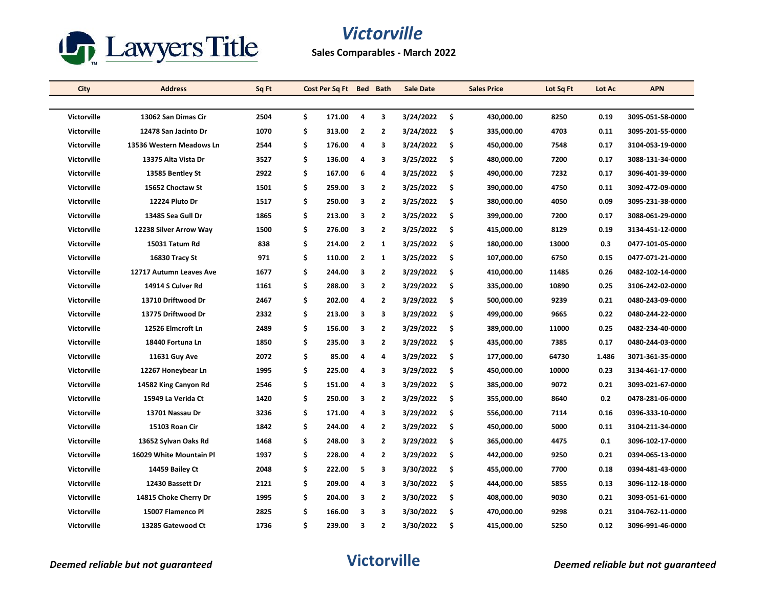

**Sales Comparables - March 2022**

| City               | <b>Address</b>           | Sq Ft | Cost Per Sq Ft Bed Bath |                         |                | <b>Sale Date</b> | <b>Sales Price</b> | Lot Sq Ft | Lot Ac | <b>APN</b>       |
|--------------------|--------------------------|-------|-------------------------|-------------------------|----------------|------------------|--------------------|-----------|--------|------------------|
|                    |                          |       |                         |                         |                |                  |                    |           |        |                  |
| Victorville        | 13062 San Dimas Cir      | 2504  | \$<br>171.00            | 4                       | 3              | 3/24/2022        | \$<br>430,000.00   | 8250      | 0.19   | 3095-051-58-0000 |
| Victorville        | 12478 San Jacinto Dr     | 1070  | \$<br>313.00            | $\overline{\mathbf{2}}$ | $\overline{2}$ | 3/24/2022        | \$<br>335,000.00   | 4703      | 0.11   | 3095-201-55-0000 |
| Victorville        | 13536 Western Meadows Ln | 2544  | \$<br>176.00            | 4                       | 3              | 3/24/2022        | \$<br>450,000.00   | 7548      | 0.17   | 3104-053-19-0000 |
| <b>Victorville</b> | 13375 Alta Vista Dr      | 3527  | \$<br>136.00            | 4                       | 3              | 3/25/2022        | \$<br>480,000.00   | 7200      | 0.17   | 3088-131-34-0000 |
| Victorville        | 13585 Bentley St         | 2922  | \$<br>167.00            | 6                       | 4              | 3/25/2022        | \$<br>490,000.00   | 7232      | 0.17   | 3096-401-39-0000 |
| <b>Victorville</b> | 15652 Choctaw St         | 1501  | \$<br>259.00            | 3                       | $\overline{2}$ | 3/25/2022        | \$<br>390,000.00   | 4750      | 0.11   | 3092-472-09-0000 |
| Victorville        | 12224 Pluto Dr           | 1517  | \$<br>250.00            | 3                       | $\overline{2}$ | 3/25/2022        | \$<br>380,000.00   | 4050      | 0.09   | 3095-231-38-0000 |
| Victorville        | 13485 Sea Gull Dr        | 1865  | \$<br>213.00            | 3                       | $\overline{2}$ | 3/25/2022        | \$<br>399,000.00   | 7200      | 0.17   | 3088-061-29-0000 |
| <b>Victorville</b> | 12238 Silver Arrow Way   | 1500  | \$<br>276.00            | 3                       | $\overline{2}$ | 3/25/2022        | \$<br>415,000.00   | 8129      | 0.19   | 3134-451-12-0000 |
| Victorville        | 15031 Tatum Rd           | 838   | \$<br>214.00            | $\overline{2}$          | 1              | 3/25/2022        | \$<br>180,000.00   | 13000     | 0.3    | 0477-101-05-0000 |
| <b>Victorville</b> | 16830 Tracy St           | 971   | \$<br>110.00            | $\mathbf{2}$            | 1              | 3/25/2022        | \$<br>107,000.00   | 6750      | 0.15   | 0477-071-21-0000 |
| <b>Victorville</b> | 12717 Autumn Leaves Ave  | 1677  | \$<br>244.00            | 3                       | $\mathbf{2}$   | 3/29/2022        | \$<br>410,000.00   | 11485     | 0.26   | 0482-102-14-0000 |
| Victorville        | 14914 S Culver Rd        | 1161  | \$<br>288.00            | 3                       | $\overline{2}$ | 3/29/2022        | \$<br>335,000.00   | 10890     | 0.25   | 3106-242-02-0000 |
| <b>Victorville</b> | 13710 Driftwood Dr       | 2467  | \$<br>202.00            | 4                       | $\overline{2}$ | 3/29/2022        | \$<br>500,000.00   | 9239      | 0.21   | 0480-243-09-0000 |
| Victorville        | 13775 Driftwood Dr       | 2332  | \$<br>213.00            | 3                       | 3              | 3/29/2022        | \$<br>499,000.00   | 9665      | 0.22   | 0480-244-22-0000 |
| Victorville        | 12526 Elmcroft Ln        | 2489  | \$<br>156.00            | 3                       | $\overline{2}$ | 3/29/2022        | \$<br>389,000.00   | 11000     | 0.25   | 0482-234-40-0000 |
| Victorville        | 18440 Fortuna Ln         | 1850  | \$<br>235.00            | 3                       | $\overline{2}$ | 3/29/2022        | \$<br>435,000.00   | 7385      | 0.17   | 0480-244-03-0000 |
| Victorville        | 11631 Guy Ave            | 2072  | \$<br>85.00             | 4                       | 4              | 3/29/2022        | \$<br>177,000.00   | 64730     | 1.486  | 3071-361-35-0000 |
| <b>Victorville</b> | 12267 Honeybear Ln       | 1995  | \$<br>225.00            | 4                       | 3              | 3/29/2022        | \$<br>450,000.00   | 10000     | 0.23   | 3134-461-17-0000 |
| Victorville        | 14582 King Canyon Rd     | 2546  | \$<br>151.00            | 4                       | 3              | 3/29/2022        | \$<br>385,000.00   | 9072      | 0.21   | 3093-021-67-0000 |
| Victorville        | 15949 La Verida Ct       | 1420  | \$<br>250.00            | 3                       | $\overline{2}$ | 3/29/2022        | \$<br>355,000.00   | 8640      | 0.2    | 0478-281-06-0000 |
| <b>Victorville</b> | 13701 Nassau Dr          | 3236  | \$<br>171.00            | 4                       | 3              | 3/29/2022        | \$<br>556,000.00   | 7114      | 0.16   | 0396-333-10-0000 |
| Victorville        | <b>15103 Roan Cir</b>    | 1842  | \$<br>244.00            | 4                       | $\overline{2}$ | 3/29/2022        | \$<br>450,000.00   | 5000      | 0.11   | 3104-211-34-0000 |
| Victorville        | 13652 Sylvan Oaks Rd     | 1468  | \$<br>248.00            | 3                       | $\overline{2}$ | 3/29/2022        | \$<br>365,000.00   | 4475      | 0.1    | 3096-102-17-0000 |
| Victorville        | 16029 White Mountain Pl  | 1937  | \$<br>228.00            | 4                       | $\overline{2}$ | 3/29/2022        | \$<br>442,000.00   | 9250      | 0.21   | 0394-065-13-0000 |
| Victorville        | 14459 Bailey Ct          | 2048  | \$<br>222.00            | 5                       | 3              | 3/30/2022        | \$<br>455,000.00   | 7700      | 0.18   | 0394-481-43-0000 |
| Victorville        | 12430 Bassett Dr         | 2121  | \$<br>209.00            | 4                       | 3              | 3/30/2022        | \$<br>444,000.00   | 5855      | 0.13   | 3096-112-18-0000 |
| Victorville        | 14815 Choke Cherry Dr    | 1995  | \$<br>204.00            | 3                       | $\overline{2}$ | 3/30/2022        | \$<br>408,000.00   | 9030      | 0.21   | 3093-051-61-0000 |
| <b>Victorville</b> | 15007 Flamenco Pl        | 2825  | \$<br>166.00            | 3                       | 3              | 3/30/2022        | \$<br>470,000.00   | 9298      | 0.21   | 3104-762-11-0000 |
| <b>Victorville</b> | 13285 Gatewood Ct        | 1736  | \$<br>239.00            | 3                       | $\overline{2}$ | 3/30/2022        | \$<br>415,000.00   | 5250      | 0.12   | 3096-991-46-0000 |